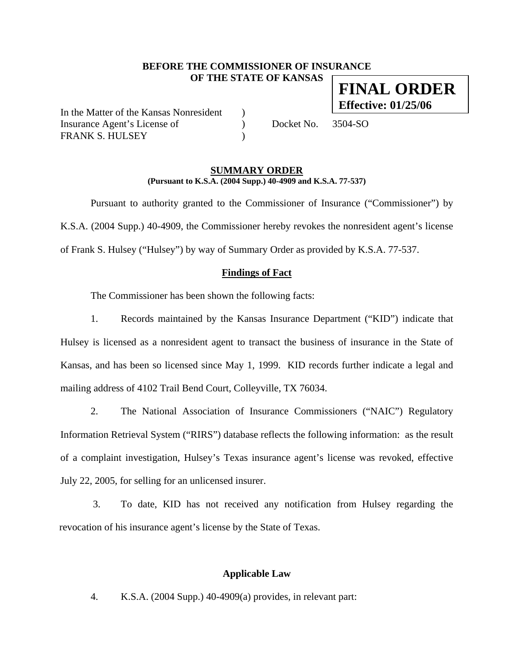## **BEFORE THE COMMISSIONER OF INSURANCE OF THE STATE OF KANSAS**

In the Matter of the Kansas Nonresident ) Insurance Agent's License of  $Docket No. 3504-SO$ FRANK S. HULSEY

### **SUMMARY ORDER (Pursuant to K.S.A. (2004 Supp.) 40-4909 and K.S.A. 77-537)**

 Pursuant to authority granted to the Commissioner of Insurance ("Commissioner") by K.S.A. (2004 Supp.) 40-4909, the Commissioner hereby revokes the nonresident agent's license of Frank S. Hulsey ("Hulsey") by way of Summary Order as provided by K.S.A. 77-537.

## **Findings of Fact**

The Commissioner has been shown the following facts:

1. Records maintained by the Kansas Insurance Department ("KID") indicate that Hulsey is licensed as a nonresident agent to transact the business of insurance in the State of Kansas, and has been so licensed since May 1, 1999. KID records further indicate a legal and mailing address of 4102 Trail Bend Court, Colleyville, TX 76034.

2. The National Association of Insurance Commissioners ("NAIC") Regulatory Information Retrieval System ("RIRS") database reflects the following information: as the result of a complaint investigation, Hulsey's Texas insurance agent's license was revoked, effective July 22, 2005, for selling for an unlicensed insurer.

3. To date, KID has not received any notification from Hulsey regarding the revocation of his insurance agent's license by the State of Texas.

### **Applicable Law**

4. K.S.A. (2004 Supp.) 40-4909(a) provides, in relevant part:

**FINAL ORDER Effective: 01/25/06**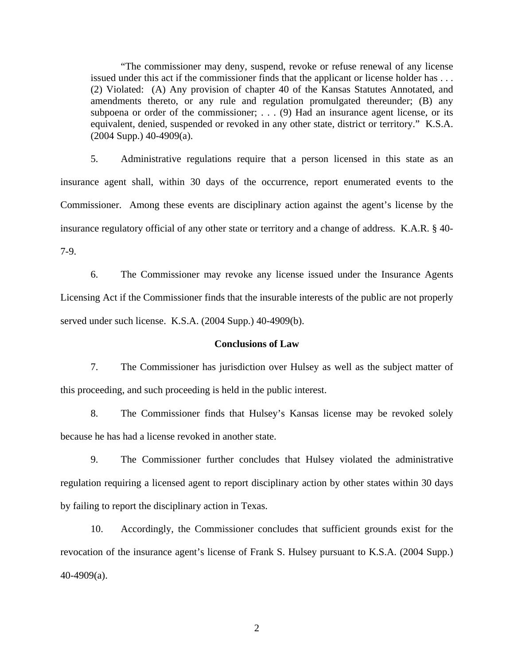"The commissioner may deny, suspend, revoke or refuse renewal of any license issued under this act if the commissioner finds that the applicant or license holder has . . . (2) Violated: (A) Any provision of chapter 40 of the Kansas Statutes Annotated, and amendments thereto, or any rule and regulation promulgated thereunder; (B) any subpoena or order of the commissioner; . . . (9) Had an insurance agent license, or its equivalent, denied, suspended or revoked in any other state, district or territory." K.S.A.  $(2004 \text{ Supp.}) 40-4909(a)$ .

5. Administrative regulations require that a person licensed in this state as an insurance agent shall, within 30 days of the occurrence, report enumerated events to the Commissioner. Among these events are disciplinary action against the agent's license by the insurance regulatory official of any other state or territory and a change of address. K.A.R. § 40- 7-9.

6. The Commissioner may revoke any license issued under the Insurance Agents Licensing Act if the Commissioner finds that the insurable interests of the public are not properly served under such license. K.S.A. (2004 Supp.) 40-4909(b).

#### **Conclusions of Law**

7. The Commissioner has jurisdiction over Hulsey as well as the subject matter of this proceeding, and such proceeding is held in the public interest.

8. The Commissioner finds that Hulsey's Kansas license may be revoked solely because he has had a license revoked in another state.

9. The Commissioner further concludes that Hulsey violated the administrative regulation requiring a licensed agent to report disciplinary action by other states within 30 days by failing to report the disciplinary action in Texas.

10. Accordingly, the Commissioner concludes that sufficient grounds exist for the revocation of the insurance agent's license of Frank S. Hulsey pursuant to K.S.A. (2004 Supp.) 40-4909(a).

2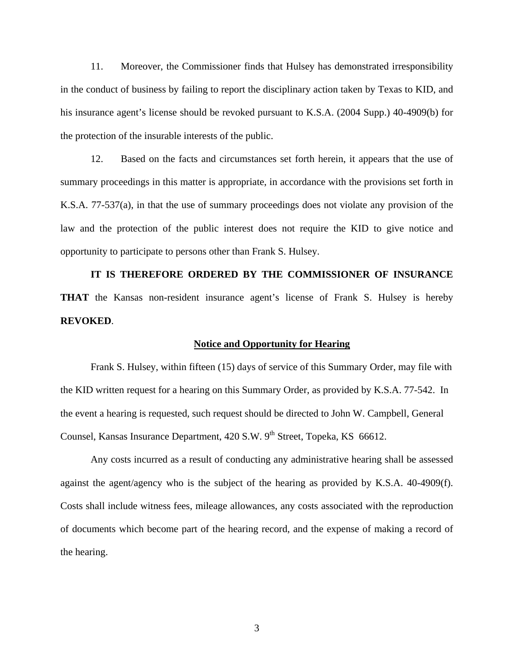11. Moreover, the Commissioner finds that Hulsey has demonstrated irresponsibility in the conduct of business by failing to report the disciplinary action taken by Texas to KID, and his insurance agent's license should be revoked pursuant to K.S.A. (2004 Supp.) 40-4909(b) for the protection of the insurable interests of the public.

12. Based on the facts and circumstances set forth herein, it appears that the use of summary proceedings in this matter is appropriate, in accordance with the provisions set forth in K.S.A. 77-537(a), in that the use of summary proceedings does not violate any provision of the law and the protection of the public interest does not require the KID to give notice and opportunity to participate to persons other than Frank S. Hulsey.

**IT IS THEREFORE ORDERED BY THE COMMISSIONER OF INSURANCE THAT** the Kansas non-resident insurance agent's license of Frank S. Hulsey is hereby **REVOKED**.

#### **Notice and Opportunity for Hearing**

Frank S. Hulsey, within fifteen (15) days of service of this Summary Order, may file with the KID written request for a hearing on this Summary Order, as provided by K.S.A. 77-542. In the event a hearing is requested, such request should be directed to John W. Campbell, General Counsel, Kansas Insurance Department, 420 S.W. 9<sup>th</sup> Street, Topeka, KS 66612.

 Any costs incurred as a result of conducting any administrative hearing shall be assessed against the agent/agency who is the subject of the hearing as provided by K.S.A. 40-4909(f). Costs shall include witness fees, mileage allowances, any costs associated with the reproduction of documents which become part of the hearing record, and the expense of making a record of the hearing.